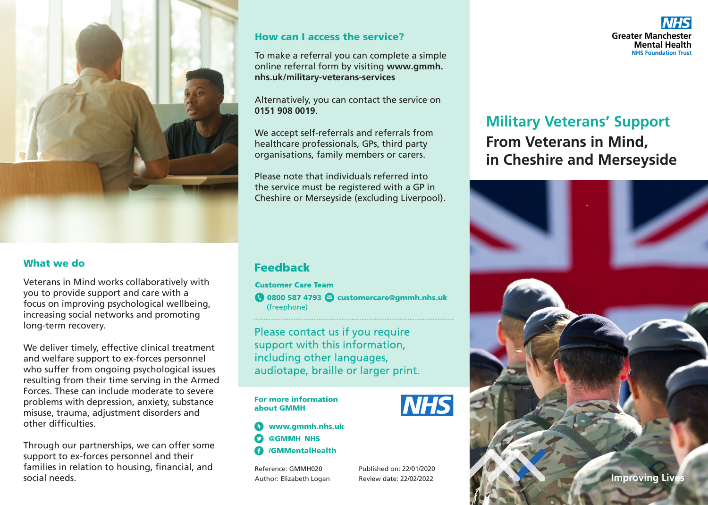

### What we do

Veterans in Mind works collaboratively with you to provide support and care with a focus on improving psychological wellbeing, increasing social networks and promoting long-term recovery.

We deliver timely, effective clinical treatment and welfare support to ex-forces personnel who suffer from ongoing psychological issues resulting from their time serving in the Armed Forces. These can include moderate to severe problems with depression, anxiety, substance misuse, trauma, adjustment disorders and other difficulties.

Through our partnerships, we can offer some support to ex-forces personnel and their families in relation to housing, financial, and social needs.

#### How can I access the service?

To make a referral you can complete a simple online referral form by visiting **www.gmmh. nhs.uk/military-veterans-services**

#### Alternatively, you can contact the service on **0151 908 0019**.

We accept self-referrals and referrals from healthcare professionals, GPs, third party organisations, family members or carers.

Please note that individuals referred into the service must be registered with a GP in Cheshire or Merseyside (excluding Liverpool).

## **Feedback**

**Customer Care Team** 

**◯ 0800 587 4793 ⊘ customercare@gmmh.nhs.uk** (freephone)

Please contact us if you require support with this information, including other languages, audiotape, braille or larger print.

#### **For more information** about GMMH

www.gmmh.nhs.uk @GMMH\_NHS /GMMentalHealth

Reference: GMMH020 Author: Elizabeth Logan Published on: 22/01/2020 Review date: 22/02/2022



# **From Veterans in Mind, in Cheshire and Merseyside Military Veterans' Support**